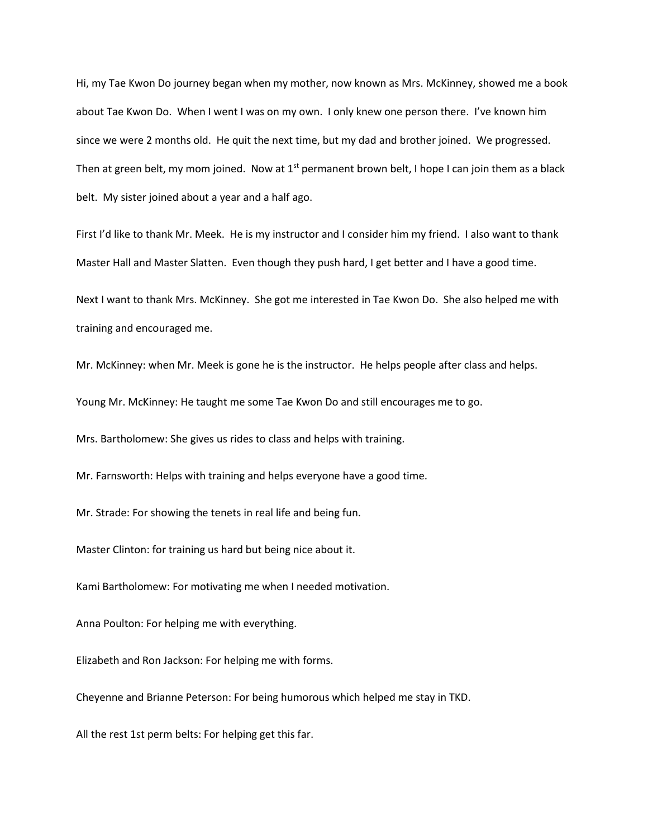Hi, my Tae Kwon Do journey began when my mother, now known as Mrs. McKinney, showed me a book about Tae Kwon Do. When I went I was on my own. I only knew one person there. I've known him since we were 2 months old. He quit the next time, but my dad and brother joined. We progressed. Then at green belt, my mom joined. Now at  $1<sup>st</sup>$  permanent brown belt, I hope I can join them as a black belt. My sister joined about a year and a half ago.

First I'd like to thank Mr. Meek. He is my instructor and I consider him my friend. I also want to thank Master Hall and Master Slatten. Even though they push hard, I get better and I have a good time.

Next I want to thank Mrs. McKinney. She got me interested in Tae Kwon Do. She also helped me with training and encouraged me.

Mr. McKinney: when Mr. Meek is gone he is the instructor. He helps people after class and helps.

Young Mr. McKinney: He taught me some Tae Kwon Do and still encourages me to go.

Mrs. Bartholomew: She gives us rides to class and helps with training.

Mr. Farnsworth: Helps with training and helps everyone have a good time.

Mr. Strade: For showing the tenets in real life and being fun.

Master Clinton: for training us hard but being nice about it.

Kami Bartholomew: For motivating me when I needed motivation.

Anna Poulton: For helping me with everything.

Elizabeth and Ron Jackson: For helping me with forms.

Cheyenne and Brianne Peterson: For being humorous which helped me stay in TKD.

All the rest 1st perm belts: For helping get this far.